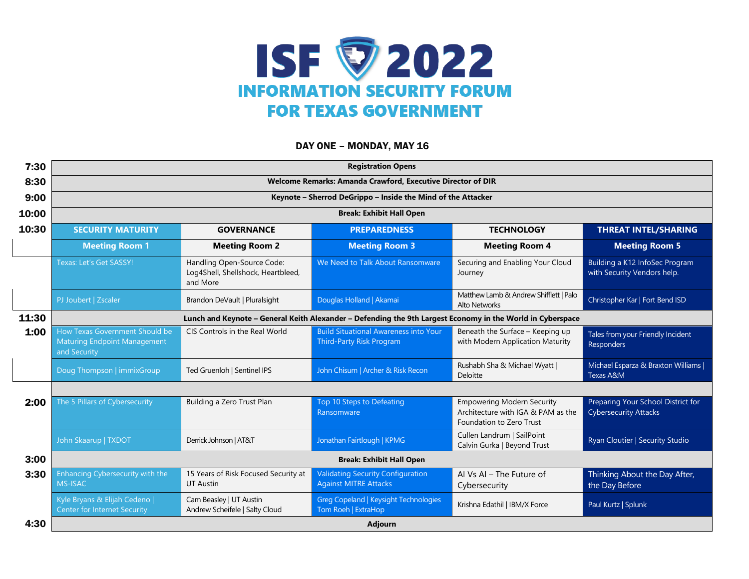

## DAY ONE - MONDAY, MAY 16

| 7:30  | <b>Registration Opens</b>                                                                                  |                                                                              |                                                                                 |                                                                                                     |                                                                    |  |  |  |  |  |
|-------|------------------------------------------------------------------------------------------------------------|------------------------------------------------------------------------------|---------------------------------------------------------------------------------|-----------------------------------------------------------------------------------------------------|--------------------------------------------------------------------|--|--|--|--|--|
| 8:30  | Welcome Remarks: Amanda Crawford, Executive Director of DIR                                                |                                                                              |                                                                                 |                                                                                                     |                                                                    |  |  |  |  |  |
| 9:00  | Keynote - Sherrod DeGrippo - Inside the Mind of the Attacker                                               |                                                                              |                                                                                 |                                                                                                     |                                                                    |  |  |  |  |  |
| 10:00 | <b>Break: Exhibit Hall Open</b>                                                                            |                                                                              |                                                                                 |                                                                                                     |                                                                    |  |  |  |  |  |
| 10:30 | <b>SECURITY MATURITY</b>                                                                                   | <b>GOVERNANCE</b>                                                            | <b>PREPAREDNESS</b>                                                             | <b>TECHNOLOGY</b>                                                                                   | <b>THREAT INTEL/SHARING</b>                                        |  |  |  |  |  |
|       | <b>Meeting Room 1</b>                                                                                      | <b>Meeting Room 2</b>                                                        | <b>Meeting Room 3</b>                                                           | <b>Meeting Room 4</b>                                                                               | <b>Meeting Room 5</b>                                              |  |  |  |  |  |
|       | Texas: Let's Get SASSY!                                                                                    | Handling Open-Source Code:<br>Log4Shell, Shellshock, Heartbleed,<br>and More | We Need to Talk About Ransomware                                                | Securing and Enabling Your Cloud<br>Journey                                                         | Building a K12 InfoSec Program<br>with Security Vendors help.      |  |  |  |  |  |
|       | PJ Joubert   Zscaler                                                                                       | Brandon DeVault   Pluralsight                                                | Douglas Holland   Akamai                                                        | Matthew Lamb & Andrew Shifflett   Palo<br><b>Alto Networks</b>                                      | Christopher Kar   Fort Bend ISD                                    |  |  |  |  |  |
| 11:30 | Lunch and Keynote - General Keith Alexander - Defending the 9th Largest Economy in the World in Cyberspace |                                                                              |                                                                                 |                                                                                                     |                                                                    |  |  |  |  |  |
| 1:00  | How Texas Government Should be<br><b>Maturing Endpoint Management</b><br>and Security                      | CIS Controls in the Real World                                               | <b>Build Situational Awareness into Your</b><br><b>Third-Party Risk Program</b> | Beneath the Surface - Keeping up<br>with Modern Application Maturity                                | Tales from your Friendly Incident<br>Responders                    |  |  |  |  |  |
|       | Doug Thompson   immixGroup                                                                                 | Ted Gruenloh   Sentinel IPS                                                  | John Chisum   Archer & Risk Recon                                               | Rushabh Sha & Michael Wyatt  <br>Deloitte                                                           | Michael Esparza & Braxton Williams  <br>Texas A&M                  |  |  |  |  |  |
|       |                                                                                                            |                                                                              |                                                                                 |                                                                                                     |                                                                    |  |  |  |  |  |
| 2:00  | The 5 Pillars of Cybersecurity                                                                             | Building a Zero Trust Plan                                                   | Top 10 Steps to Defeating<br>Ransomware                                         | <b>Empowering Modern Security</b><br>Architecture with IGA & PAM as the<br>Foundation to Zero Trust | Preparing Your School District for<br><b>Cybersecurity Attacks</b> |  |  |  |  |  |
|       | John Skaarup   TXDOT                                                                                       | Derrick Johnson   AT&T                                                       | Jonathan Fairtlough   KPMG                                                      | Cullen Landrum   SailPoint<br>Calvin Gurka   Beyond Trust                                           | Ryan Cloutier   Security Studio                                    |  |  |  |  |  |
| 3:00  | <b>Break: Exhibit Hall Open</b>                                                                            |                                                                              |                                                                                 |                                                                                                     |                                                                    |  |  |  |  |  |
| 3:30  | Enhancing Cybersecurity with the<br><b>MS-ISAC</b>                                                         | 15 Years of Risk Focused Security at<br><b>UT Austin</b>                     | <b>Validating Security Configuration</b><br><b>Against MITRE Attacks</b>        | Al Vs Al - The Future of<br>Cybersecurity                                                           | Thinking About the Day After,<br>the Day Before                    |  |  |  |  |  |
|       | Kyle Bryans & Elijah Cedeno  <br><b>Center</b> for Internet Security                                       | Cam Beasley   UT Austin<br>Andrew Scheifele   Salty Cloud                    | Greg Copeland   Keysight Technologies<br>Tom Roeh   ExtraHop                    | Krishna Edathil   IBM/X Force                                                                       | Paul Kurtz   Splunk                                                |  |  |  |  |  |
| 4:30  | <b>Adjourn</b>                                                                                             |                                                                              |                                                                                 |                                                                                                     |                                                                    |  |  |  |  |  |